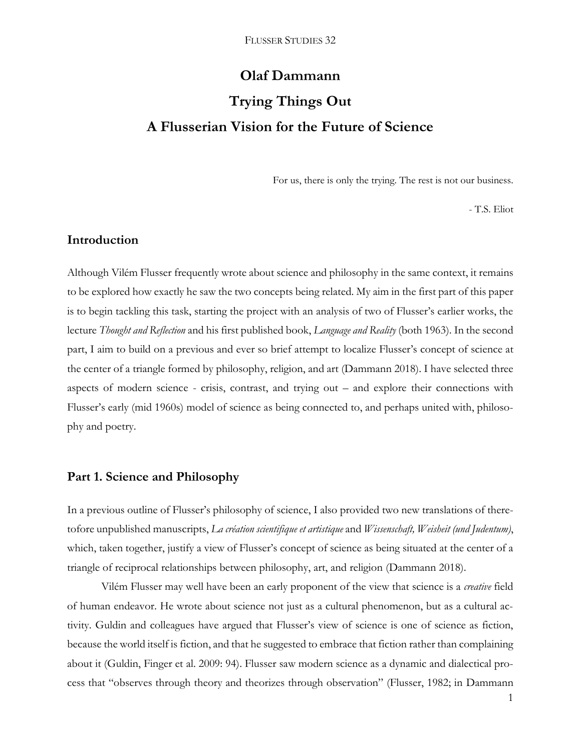# **Olaf Dammann Trying Things Out A Flusserian Vision for the Future of Science**

For us, there is only the trying. The rest is not our business.

- T.S. Eliot

## **Introduction**

Although Vilém Flusser frequently wrote about science and philosophy in the same context, it remains to be explored how exactly he saw the two concepts being related. My aim in the first part of this paper is to begin tackling this task, starting the project with an analysis of two of Flusser's earlier works, the lecture *Thought and Reflection* and his first published book, *Language and Reality* (both 1963). In the second part, I aim to build on a previous and ever so brief attempt to localize Flusser's concept of science at the center of a triangle formed by philosophy, religion, and art (Dammann 2018). I have selected three aspects of modern science - crisis, contrast, and trying out – and explore their connections with Flusser's early (mid 1960s) model of science as being connected to, and perhaps united with, philosophy and poetry.

## **Part 1. Science and Philosophy**

In a previous outline of Flusser's philosophy of science, I also provided two new translations of theretofore unpublished manuscripts, *La création scientifique et artistique* and *Wissenschaft, Weisheit (und Judentum)*, which, taken together, justify a view of Flusser's concept of science as being situated at the center of a triangle of reciprocal relationships between philosophy, art, and religion (Dammann 2018).

Vilém Flusser may well have been an early proponent of the view that science is a *creative* field of human endeavor. He wrote about science not just as a cultural phenomenon, but as a cultural activity. Guldin and colleagues have argued that Flusser's view of science is one of science as fiction, because the world itself is fiction, and that he suggested to embrace that fiction rather than complaining about it (Guldin, Finger et al. 2009: 94). Flusser saw modern science as a dynamic and dialectical process that "observes through theory and theorizes through observation" (Flusser, 1982; in Dammann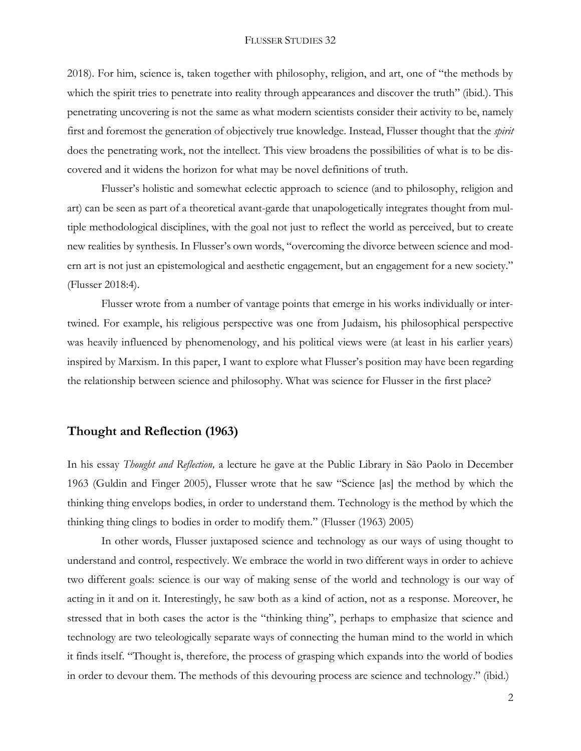2018). For him, science is, taken together with philosophy, religion, and art, one of "the methods by which the spirit tries to penetrate into reality through appearances and discover the truth" (ibid.). This penetrating uncovering is not the same as what modern scientists consider their activity to be, namely first and foremost the generation of objectively true knowledge. Instead, Flusser thought that the *spirit*  does the penetrating work, not the intellect. This view broadens the possibilities of what is to be discovered and it widens the horizon for what may be novel definitions of truth.

Flusser's holistic and somewhat eclectic approach to science (and to philosophy, religion and art) can be seen as part of a theoretical avant-garde that unapologetically integrates thought from multiple methodological disciplines, with the goal not just to reflect the world as perceived, but to create new realities by synthesis. In Flusser's own words, "overcoming the divorce between science and modern art is not just an epistemological and aesthetic engagement, but an engagement for a new society." (Flusser 2018:4).

Flusser wrote from a number of vantage points that emerge in his works individually or intertwined. For example, his religious perspective was one from Judaism, his philosophical perspective was heavily influenced by phenomenology, and his political views were (at least in his earlier years) inspired by Marxism. In this paper, I want to explore what Flusser's position may have been regarding the relationship between science and philosophy. What was science for Flusser in the first place?

#### **Thought and Reflection (1963)**

In his essay *Thought and Reflection,* a lecture he gave at the Public Library in São Paolo in December 1963 (Guldin and Finger 2005), Flusser wrote that he saw "Science [as] the method by which the thinking thing envelops bodies, in order to understand them. Technology is the method by which the thinking thing clings to bodies in order to modify them." (Flusser (1963) 2005)

In other words, Flusser juxtaposed science and technology as our ways of using thought to understand and control, respectively. We embrace the world in two different ways in order to achieve two different goals: science is our way of making sense of the world and technology is our way of acting in it and on it. Interestingly, he saw both as a kind of action, not as a response. Moreover, he stressed that in both cases the actor is the "thinking thing", perhaps to emphasize that science and technology are two teleologically separate ways of connecting the human mind to the world in which it finds itself. "Thought is, therefore, the process of grasping which expands into the world of bodies in order to devour them. The methods of this devouring process are science and technology." (ibid.)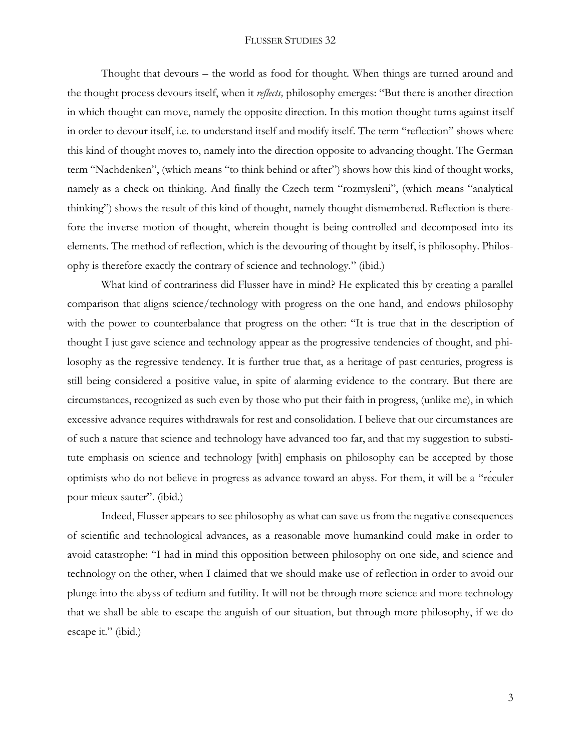Thought that devours – the world as food for thought. When things are turned around and the thought process devours itself, when it *reflects,* philosophy emerges: "But there is another direction in which thought can move, namely the opposite direction. In this motion thought turns against itself in order to devour itself, i.e. to understand itself and modify itself. The term "reflection" shows where this kind of thought moves to, namely into the direction opposite to advancing thought. The German term "Nachdenken", (which means "to think behind or after") shows how this kind of thought works, namely as a check on thinking. And finally the Czech term "rozmysleni", (which means "analytical thinking") shows the result of this kind of thought, namely thought dismembered. Reflection is therefore the inverse motion of thought, wherein thought is being controlled and decomposed into its elements. The method of reflection, which is the devouring of thought by itself, is philosophy. Philosophy is therefore exactly the contrary of science and technology." (ibid.)

What kind of contrariness did Flusser have in mind? He explicated this by creating a parallel comparison that aligns science/technology with progress on the one hand, and endows philosophy with the power to counterbalance that progress on the other: "It is true that in the description of thought I just gave science and technology appear as the progressive tendencies of thought, and philosophy as the regressive tendency. It is further true that, as a heritage of past centuries, progress is still being considered a positive value, in spite of alarming evidence to the contrary. But there are circumstances, recognized as such even by those who put their faith in progress, (unlike me), in which excessive advance requires withdrawals for rest and consolidation. I believe that our circumstances are of such a nature that science and technology have advanced too far, and that my suggestion to substitute emphasis on science and technology [with] emphasis on philosophy can be accepted by those optimists who do not believe in progress as advance toward an abyss. For them, it will be a "réculer pour mieux sauter". (ibid.)

Indeed, Flusser appears to see philosophy as what can save us from the negative consequences of scientific and technological advances, as a reasonable move humankind could make in order to avoid catastrophe: "I had in mind this opposition between philosophy on one side, and science and technology on the other, when I claimed that we should make use of reflection in order to avoid our plunge into the abyss of tedium and futility. It will not be through more science and more technology that we shall be able to escape the anguish of our situation, but through more philosophy, if we do escape it." (ibid.)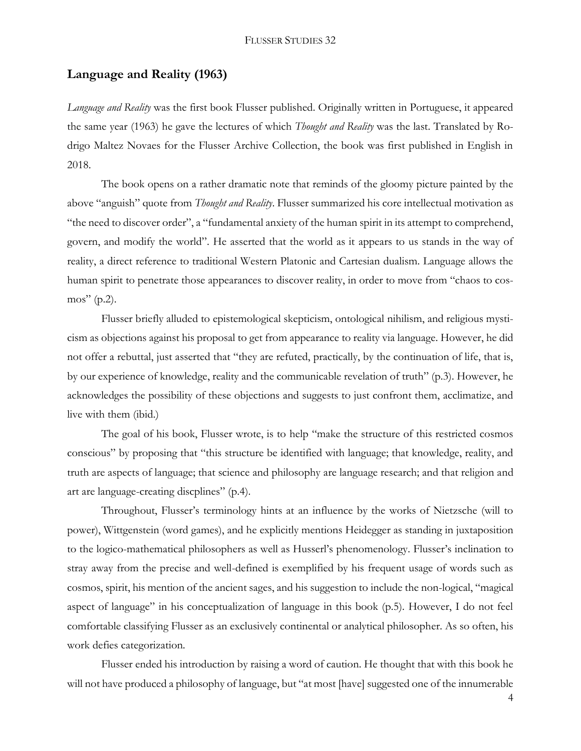## **Language and Reality (1963)**

*Language and Reality* was the first book Flusser published. Originally written in Portuguese, it appeared the same year (1963) he gave the lectures of which *Thought and Reality* was the last. Translated by Rodrigo Maltez Novaes for the Flusser Archive Collection, the book was first published in English in 2018.

The book opens on a rather dramatic note that reminds of the gloomy picture painted by the above "anguish" quote from *Thought and Reality*. Flusser summarized his core intellectual motivation as "the need to discover order", a "fundamental anxiety of the human spirit in its attempt to comprehend, govern, and modify the world". He asserted that the world as it appears to us stands in the way of reality, a direct reference to traditional Western Platonic and Cartesian dualism. Language allows the human spirit to penetrate those appearances to discover reality, in order to move from "chaos to cosmos" (p.2).

Flusser briefly alluded to epistemological skepticism, ontological nihilism, and religious mysticism as objections against his proposal to get from appearance to reality via language. However, he did not offer a rebuttal, just asserted that "they are refuted, practically, by the continuation of life, that is, by our experience of knowledge, reality and the communicable revelation of truth" (p.3). However, he acknowledges the possibility of these objections and suggests to just confront them, acclimatize, and live with them (ibid.)

The goal of his book, Flusser wrote, is to help "make the structure of this restricted cosmos conscious" by proposing that "this structure be identified with language; that knowledge, reality, and truth are aspects of language; that science and philosophy are language research; and that religion and art are language-creating discplines" (p.4).

Throughout, Flusser's terminology hints at an influence by the works of Nietzsche (will to power), Wittgenstein (word games), and he explicitly mentions Heidegger as standing in juxtaposition to the logico-mathematical philosophers as well as Husserl's phenomenology. Flusser's inclination to stray away from the precise and well-defined is exemplified by his frequent usage of words such as cosmos, spirit, his mention of the ancient sages, and his suggestion to include the non-logical, "magical aspect of language" in his conceptualization of language in this book (p.5). However, I do not feel comfortable classifying Flusser as an exclusively continental or analytical philosopher. As so often, his work defies categorization.

Flusser ended his introduction by raising a word of caution. He thought that with this book he will not have produced a philosophy of language, but "at most [have] suggested one of the innumerable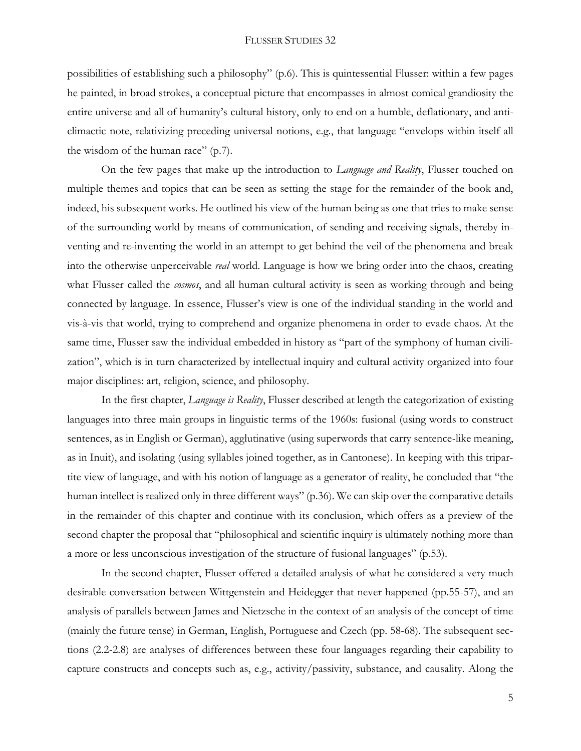possibilities of establishing such a philosophy" (p.6). This is quintessential Flusser: within a few pages he painted, in broad strokes, a conceptual picture that encompasses in almost comical grandiosity the entire universe and all of humanity's cultural history, only to end on a humble, deflationary, and anticlimactic note, relativizing preceding universal notions, e.g., that language "envelops within itself all the wisdom of the human race" (p.7).

On the few pages that make up the introduction to *Language and Reality*, Flusser touched on multiple themes and topics that can be seen as setting the stage for the remainder of the book and, indeed, his subsequent works. He outlined his view of the human being as one that tries to make sense of the surrounding world by means of communication, of sending and receiving signals, thereby inventing and re-inventing the world in an attempt to get behind the veil of the phenomena and break into the otherwise unperceivable *real* world. Language is how we bring order into the chaos, creating what Flusser called the *cosmos*, and all human cultural activity is seen as working through and being connected by language. In essence, Flusser's view is one of the individual standing in the world and vis-à-vis that world, trying to comprehend and organize phenomena in order to evade chaos. At the same time, Flusser saw the individual embedded in history as "part of the symphony of human civilization", which is in turn characterized by intellectual inquiry and cultural activity organized into four major disciplines: art, religion, science, and philosophy.

In the first chapter, *Language is Reality*, Flusser described at length the categorization of existing languages into three main groups in linguistic terms of the 1960s: fusional (using words to construct sentences, as in English or German), agglutinative (using superwords that carry sentence-like meaning, as in Inuit), and isolating (using syllables joined together, as in Cantonese). In keeping with this tripartite view of language, and with his notion of language as a generator of reality, he concluded that "the human intellect is realized only in three different ways" (p.36). We can skip over the comparative details in the remainder of this chapter and continue with its conclusion, which offers as a preview of the second chapter the proposal that "philosophical and scientific inquiry is ultimately nothing more than a more or less unconscious investigation of the structure of fusional languages" (p.53).

In the second chapter, Flusser offered a detailed analysis of what he considered a very much desirable conversation between Wittgenstein and Heidegger that never happened (pp.55-57), and an analysis of parallels between James and Nietzsche in the context of an analysis of the concept of time (mainly the future tense) in German, English, Portuguese and Czech (pp. 58-68). The subsequent sections (2.2-2.8) are analyses of differences between these four languages regarding their capability to capture constructs and concepts such as, e.g., activity/passivity, substance, and causality. Along the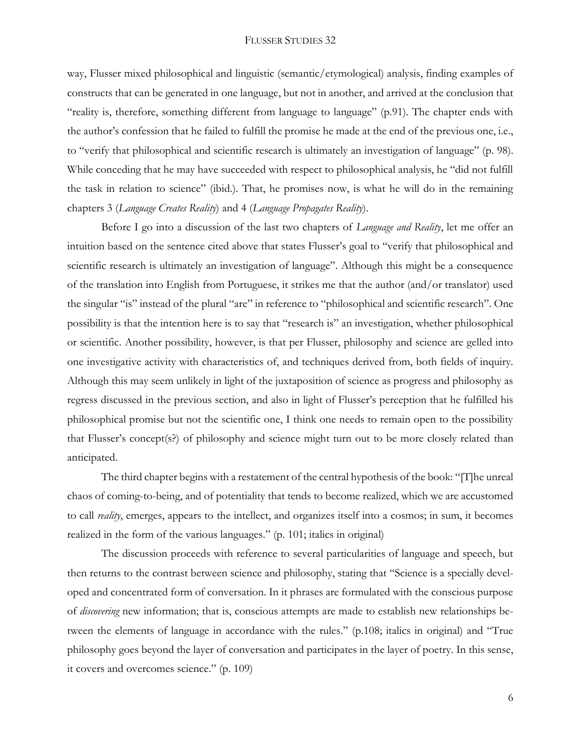way, Flusser mixed philosophical and linguistic (semantic/etymological) analysis, finding examples of constructs that can be generated in one language, but not in another, and arrived at the conclusion that "reality is, therefore, something different from language to language" (p.91). The chapter ends with the author's confession that he failed to fulfill the promise he made at the end of the previous one, i.e., to "verify that philosophical and scientific research is ultimately an investigation of language" (p. 98). While conceding that he may have succeeded with respect to philosophical analysis, he "did not fulfill the task in relation to science" (ibid.). That, he promises now, is what he will do in the remaining chapters 3 (*Language Creates Reality*) and 4 (*Language Propagates Reality*).

Before I go into a discussion of the last two chapters of *Language and Reality*, let me offer an intuition based on the sentence cited above that states Flusser's goal to "verify that philosophical and scientific research is ultimately an investigation of language". Although this might be a consequence of the translation into English from Portuguese, it strikes me that the author (and/or translator) used the singular "is" instead of the plural "are" in reference to "philosophical and scientific research". One possibility is that the intention here is to say that "research is" an investigation, whether philosophical or scientific. Another possibility, however, is that per Flusser, philosophy and science are gelled into one investigative activity with characteristics of, and techniques derived from, both fields of inquiry. Although this may seem unlikely in light of the juxtaposition of science as progress and philosophy as regress discussed in the previous section, and also in light of Flusser's perception that he fulfilled his philosophical promise but not the scientific one, I think one needs to remain open to the possibility that Flusser's concept(s?) of philosophy and science might turn out to be more closely related than anticipated.

The third chapter begins with a restatement of the central hypothesis of the book: "[T]he unreal chaos of coming-to-being, and of potentiality that tends to become realized, which we are accustomed to call *reality*, emerges, appears to the intellect, and organizes itself into a cosmos; in sum, it becomes realized in the form of the various languages." (p. 101; italics in original)

The discussion proceeds with reference to several particularities of language and speech, but then returns to the contrast between science and philosophy, stating that "Science is a specially developed and concentrated form of conversation. In it phrases are formulated with the conscious purpose of *discovering* new information; that is, conscious attempts are made to establish new relationships between the elements of language in accordance with the rules." (p.108; italics in original) and "True philosophy goes beyond the layer of conversation and participates in the layer of poetry. In this sense, it covers and overcomes science." (p. 109)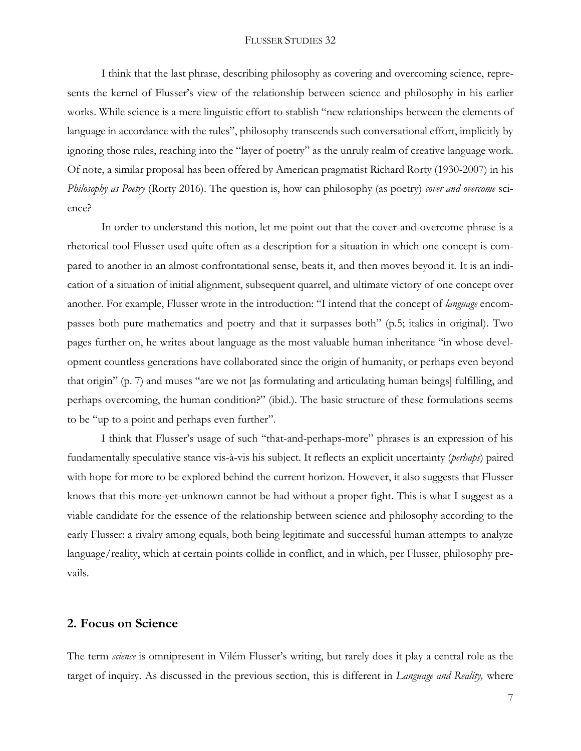I think that the last phrase, describing philosophy as covering and overcoming science, represents the kernel of Flusser's view of the relationship between science and philosophy in his earlier works. While science is a mere linguistic effort to stablish "new relationships between the elements of language in accordance with the rules", philosophy transcends such conversational effort, implicitly by ignoring those rules, reaching into the "layer of poetry" as the unruly realm of creative language work. Of note, a similar proposal has been offered by American pragmatist Richard Rorty (1930-2007) in his *Philosophy as Poetry* (Rorty 2016). The question is, how can philosophy (as poetry) *cover and overcome* science?

In order to understand this notion, let me point out that the cover-and-overcome phrase is a rhetorical tool Flusser used quite often as a description for a situation in which one concept is compared to another in an almost confrontational sense, beats it, and then moves beyond it. It is an indication of a situation of initial alignment, subsequent quarrel, and ultimate victory of one concept over another. For example, Flusser wrote in the introduction: "I intend that the concept of *language* encompasses both pure mathematics and poetry and that it surpasses both" (p.5; italics in original). Two pages further on, he writes about language as the most valuable human inheritance "in whose development countless generations have collaborated since the origin of humanity, or perhaps even beyond that origin" (p. 7) and muses "are we not [as formulating and articulating human beings] fulfilling, and perhaps overcoming, the human condition?" (ibid.). The basic structure of these formulations seems to be "up to a point and perhaps even further".

I think that Flusser's usage of such "that-and-perhaps-more" phrases is an expression of his fundamentally speculative stance vis-à-vis his subject. It reflects an explicit uncertainty (*perhaps*) paired with hope for more to be explored behind the current horizon. However, it also suggests that Flusser knows that this more-yet-unknown cannot be had without a proper fight. This is what I suggest as a viable candidate for the essence of the relationship between science and philosophy according to the early Flusser: a rivalry among equals, both being legitimate and successful human attempts to analyze language/reality, which at certain points collide in conflict, and in which, per Flusser, philosophy prevails.

## **2. Focus on Science**

The term *science* is omnipresent in Vilém Flusser's writing, but rarely does it play a central role as the target of inquiry. As discussed in the previous section, this is different in *Language and Reality,* where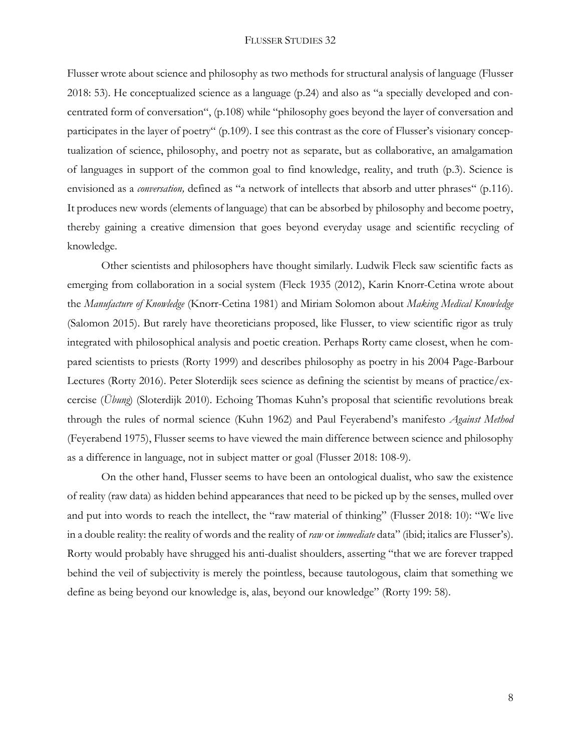Flusser wrote about science and philosophy as two methods for structural analysis of language (Flusser 2018: 53). He conceptualized science as a language (p.24) and also as "a specially developed and concentrated form of conversation", (p.108) while "philosophy goes beyond the layer of conversation and participates in the layer of poetry" (p.109). I see this contrast as the core of Flusser's visionary conceptualization of science, philosophy, and poetry not as separate, but as collaborative, an amalgamation of languages in support of the common goal to find knowledge, reality, and truth (p.3). Science is envisioned as a *conversation,* defined as "a network of intellects that absorb and utter phrases" (p.116). It produces new words (elements of language) that can be absorbed by philosophy and become poetry, thereby gaining a creative dimension that goes beyond everyday usage and scientific recycling of knowledge.

Other scientists and philosophers have thought similarly. Ludwik Fleck saw scientific facts as emerging from collaboration in a social system (Fleck 1935 (2012), Karin Knorr-Cetina wrote about the *Manufacture of Knowledge* (Knorr-Cetina 1981) and Miriam Solomon about *Making Medical Knowledge* (Salomon 2015). But rarely have theoreticians proposed, like Flusser, to view scientific rigor as truly integrated with philosophical analysis and poetic creation. Perhaps Rorty came closest, when he compared scientists to priests (Rorty 1999) and describes philosophy as poetry in his 2004 Page-Barbour Lectures (Rorty 2016). Peter Sloterdijk sees science as defining the scientist by means of practice/excercise (*Übung*) (Sloterdijk 2010). Echoing Thomas Kuhn's proposal that scientific revolutions break through the rules of normal science (Kuhn 1962) and Paul Feyerabend's manifesto *Against Method* (Feyerabend 1975), Flusser seems to have viewed the main difference between science and philosophy as a difference in language, not in subject matter or goal (Flusser 2018: 108-9).

On the other hand, Flusser seems to have been an ontological dualist, who saw the existence of reality (raw data) as hidden behind appearances that need to be picked up by the senses, mulled over and put into words to reach the intellect, the "raw material of thinking" (Flusser 2018: 10): "We live in a double reality: the reality of words and the reality of *raw* or *immediate* data" (ibid; italics are Flusser's). Rorty would probably have shrugged his anti-dualist shoulders, asserting "that we are forever trapped behind the veil of subjectivity is merely the pointless, because tautologous, claim that something we define as being beyond our knowledge is, alas, beyond our knowledge" (Rorty 199: 58).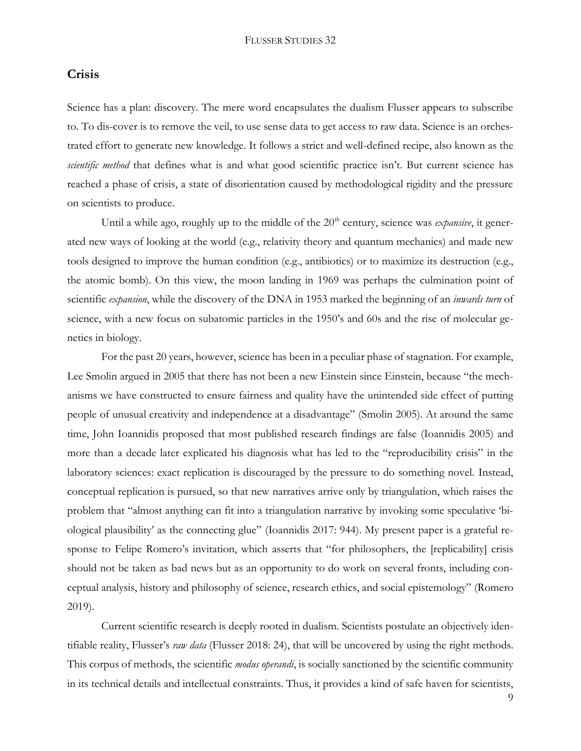## **Crisis**

Science has a plan: discovery. The mere word encapsulates the dualism Flusser appears to subscribe to. To dis-cover is to remove the veil, to use sense data to get access to raw data. Science is an orchestrated effort to generate new knowledge. It follows a strict and well-defined recipe, also known as the *scientific method* that defines what is and what good scientific practice isn't. But current science has reached a phase of crisis, a state of disorientation caused by methodological rigidity and the pressure on scientists to produce.

Until a while ago, roughly up to the middle of the 20<sup>th</sup> century, science was *expansive*, it generated new ways of looking at the world (e.g., relativity theory and quantum mechanics) and made new tools designed to improve the human condition (e.g., antibiotics) or to maximize its destruction (e.g., the atomic bomb). On this view, the moon landing in 1969 was perhaps the culmination point of scientific *expansion*, while the discovery of the DNA in 1953 marked the beginning of an *inwards turn* of science, with a new focus on subatomic particles in the 1950's and 60s and the rise of molecular genetics in biology.

For the past 20 years, however, science has been in a peculiar phase of stagnation. For example, Lee Smolin argued in 2005 that there has not been a new Einstein since Einstein, because "the mechanisms we have constructed to ensure fairness and quality have the unintended side effect of putting people of unusual creativity and independence at a disadvantage" (Smolin 2005). At around the same time, John Ioannidis proposed that most published research findings are false (Ioannidis 2005) and more than a decade later explicated his diagnosis what has led to the "reproducibility crisis" in the laboratory sciences: exact replication is discouraged by the pressure to do something novel. Instead, conceptual replication is pursued, so that new narratives arrive only by triangulation, which raises the problem that "almost anything can fit into a triangulation narrative by invoking some speculative 'biological plausibility' as the connecting glue" (Ioannidis 2017: 944). My present paper is a grateful response to Felipe Romero's invitation, which asserts that "for philosophers, the [replicability] crisis should not be taken as bad news but as an opportunity to do work on several fronts, including conceptual analysis, history and philosophy of science, research ethics, and social epistemology" (Romero 2019).

Current scientific research is deeply rooted in dualism. Scientists postulate an objectively identifiable reality, Flusser's *raw data* (Flusser 2018: 24), that will be uncovered by using the right methods. This corpus of methods, the scientific *modus operandi*, is socially sanctioned by the scientific community in its technical details and intellectual constraints. Thus, it provides a kind of safe haven for scientists,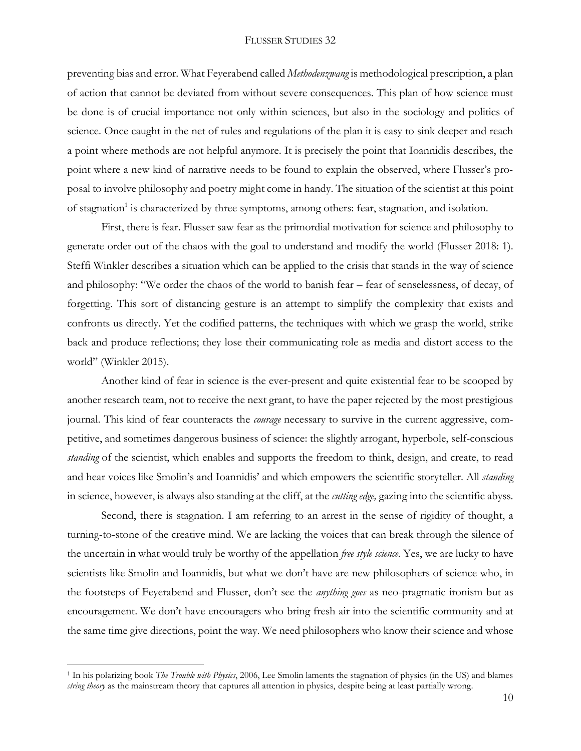preventing bias and error. What Feyerabend called *Methodenzwang* is methodological prescription, a plan of action that cannot be deviated from without severe consequences. This plan of how science must be done is of crucial importance not only within sciences, but also in the sociology and politics of science. Once caught in the net of rules and regulations of the plan it is easy to sink deeper and reach a point where methods are not helpful anymore. It is precisely the point that Ioannidis describes, the point where a new kind of narrative needs to be found to explain the observed, where Flusser's proposal to involve philosophy and poetry might come in handy. The situation of the scientist at this point of stagnation<sup>1</sup> is characterized by three symptoms, among others: fear, stagnation, and isolation.

First, there is fear. Flusser saw fear as the primordial motivation for science and philosophy to generate order out of the chaos with the goal to understand and modify the world (Flusser 2018: 1). Steffi Winkler describes a situation which can be applied to the crisis that stands in the way of science and philosophy: "We order the chaos of the world to banish fear – fear of senselessness, of decay, of forgetting. This sort of distancing gesture is an attempt to simplify the complexity that exists and confronts us directly. Yet the codified patterns, the techniques with which we grasp the world, strike back and produce reflections; they lose their communicating role as media and distort access to the world" (Winkler 2015).

Another kind of fear in science is the ever-present and quite existential fear to be scooped by another research team, not to receive the next grant, to have the paper rejected by the most prestigious journal. This kind of fear counteracts the *courage* necessary to survive in the current aggressive, competitive, and sometimes dangerous business of science: the slightly arrogant, hyperbole, self-conscious *standing* of the scientist, which enables and supports the freedom to think, design, and create, to read and hear voices like Smolin's and Ioannidis' and which empowers the scientific storyteller. All *standing*  in science, however, is always also standing at the cliff, at the *cutting edge,* gazing into the scientific abyss.

Second, there is stagnation. I am referring to an arrest in the sense of rigidity of thought, a turning-to-stone of the creative mind. We are lacking the voices that can break through the silence of the uncertain in what would truly be worthy of the appellation *free style science.* Yes, we are lucky to have scientists like Smolin and Ioannidis, but what we don't have are new philosophers of science who, in the footsteps of Feyerabend and Flusser, don't see the *anything goes* as neo-pragmatic ironism but as encouragement. We don't have encouragers who bring fresh air into the scientific community and at the same time give directions, point the way. We need philosophers who know their science and whose

 $\overline{a}$ 

<sup>1</sup> In his polarizing book *The Trouble with Physics*, 2006, Lee Smolin laments the stagnation of physics (in the US) and blames *string theory* as the mainstream theory that captures all attention in physics, despite being at least partially wrong.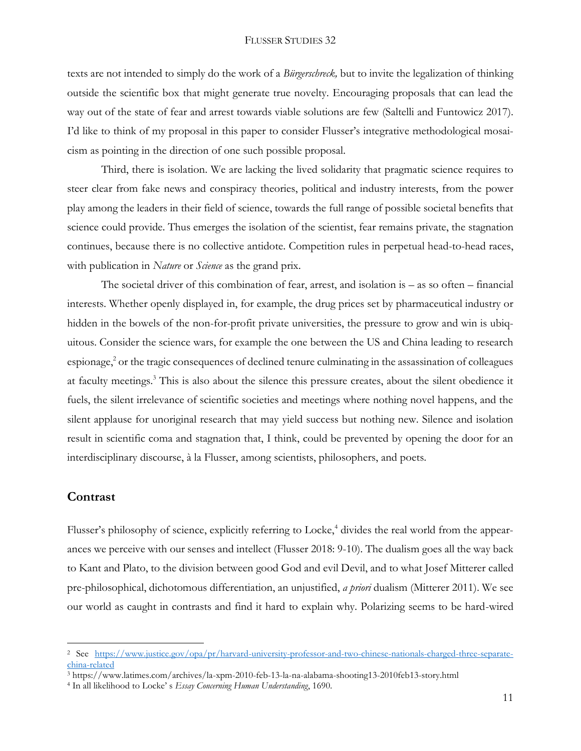texts are not intended to simply do the work of a *Bürgerschreck,* but to invite the legalization of thinking outside the scientific box that might generate true novelty. Encouraging proposals that can lead the way out of the state of fear and arrest towards viable solutions are few (Saltelli and Funtowicz 2017). I'd like to think of my proposal in this paper to consider Flusser's integrative methodological mosaicism as pointing in the direction of one such possible proposal.

Third, there is isolation. We are lacking the lived solidarity that pragmatic science requires to steer clear from fake news and conspiracy theories, political and industry interests, from the power play among the leaders in their field of science, towards the full range of possible societal benefits that science could provide. Thus emerges the isolation of the scientist, fear remains private, the stagnation continues, because there is no collective antidote. Competition rules in perpetual head-to-head races, with publication in *Nature* or *Science* as the grand prix.

The societal driver of this combination of fear, arrest, and isolation is – as so often – financial interests. Whether openly displayed in, for example, the drug prices set by pharmaceutical industry or hidden in the bowels of the non-for-profit private universities, the pressure to grow and win is ubiquitous. Consider the science wars, for example the one between the US and China leading to research espionage, $<sup>2</sup>$  or the tragic consequences of declined tenure culminating in the assassination of colleagues</sup> at faculty meetings. <sup>3</sup> This is also about the silence this pressure creates, about the silent obedience it fuels, the silent irrelevance of scientific societies and meetings where nothing novel happens, and the silent applause for unoriginal research that may yield success but nothing new. Silence and isolation result in scientific coma and stagnation that, I think, could be prevented by opening the door for an interdisciplinary discourse, à la Flusser, among scientists, philosophers, and poets.

# **Contrast**

 $\overline{a}$ 

Flusser's philosophy of science, explicitly referring to Locke,<sup>4</sup> divides the real world from the appearances we perceive with our senses and intellect (Flusser 2018: 9-10). The dualism goes all the way back to Kant and Plato, to the division between good God and evil Devil, and to what Josef Mitterer called pre-philosophical, dichotomous differentiation, an unjustified, *a priori* dualism (Mitterer 2011). We see our world as caught in contrasts and find it hard to explain why. Polarizing seems to be hard-wired

<sup>2</sup> See [https://www.justice.gov/opa/pr/harvard-university-professor-and-two-chinese-nationals-charged-three-separate](https://www.justice.gov/opa/pr/harvard-university-professor-and-two-chinese-nationals-charged-three-separate-china-related)[china-related](https://www.justice.gov/opa/pr/harvard-university-professor-and-two-chinese-nationals-charged-three-separate-china-related)

<sup>3</sup> https://www.latimes.com/archives/la-xpm-2010-feb-13-la-na-alabama-shooting13-2010feb13-story.html

<sup>4</sup> In all likelihood to Locke' s *Essay Concerning Human Understanding*, 1690.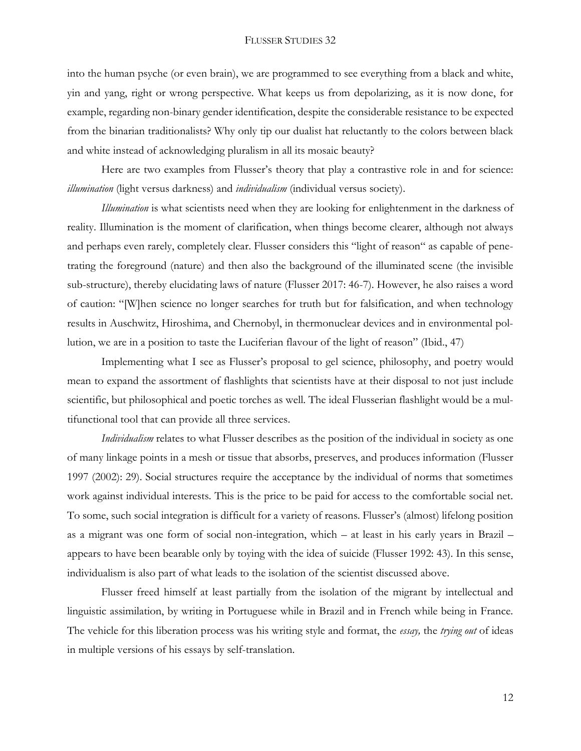into the human psyche (or even brain), we are programmed to see everything from a black and white, yin and yang, right or wrong perspective. What keeps us from depolarizing, as it is now done, for example, regarding non-binary gender identification, despite the considerable resistance to be expected from the binarian traditionalists? Why only tip our dualist hat reluctantly to the colors between black and white instead of acknowledging pluralism in all its mosaic beauty?

Here are two examples from Flusser's theory that play a contrastive role in and for science: *illumination* (light versus darkness) and *individualism* (individual versus society).

*Illumination* is what scientists need when they are looking for enlightenment in the darkness of reality. Illumination is the moment of clarification, when things become clearer, although not always and perhaps even rarely, completely clear. Flusser considers this "light of reason" as capable of penetrating the foreground (nature) and then also the background of the illuminated scene (the invisible sub-structure), thereby elucidating laws of nature (Flusser 2017: 46-7). However, he also raises a word of caution: "[W]hen science no longer searches for truth but for falsification, and when technology results in Auschwitz, Hiroshima, and Chernobyl, in thermonuclear devices and in environmental pollution, we are in a position to taste the Luciferian flavour of the light of reason" (Ibid., 47)

Implementing what I see as Flusser's proposal to gel science, philosophy, and poetry would mean to expand the assortment of flashlights that scientists have at their disposal to not just include scientific, but philosophical and poetic torches as well. The ideal Flusserian flashlight would be a multifunctional tool that can provide all three services.

*Individualism* relates to what Flusser describes as the position of the individual in society as one of many linkage points in a mesh or tissue that absorbs, preserves, and produces information (Flusser 1997 (2002): 29). Social structures require the acceptance by the individual of norms that sometimes work against individual interests. This is the price to be paid for access to the comfortable social net. To some, such social integration is difficult for a variety of reasons. Flusser's (almost) lifelong position as a migrant was one form of social non-integration, which – at least in his early years in Brazil – appears to have been bearable only by toying with the idea of suicide (Flusser 1992: 43). In this sense, individualism is also part of what leads to the isolation of the scientist discussed above.

Flusser freed himself at least partially from the isolation of the migrant by intellectual and linguistic assimilation, by writing in Portuguese while in Brazil and in French while being in France. The vehicle for this liberation process was his writing style and format, the *essay,* the *trying out* of ideas in multiple versions of his essays by self-translation.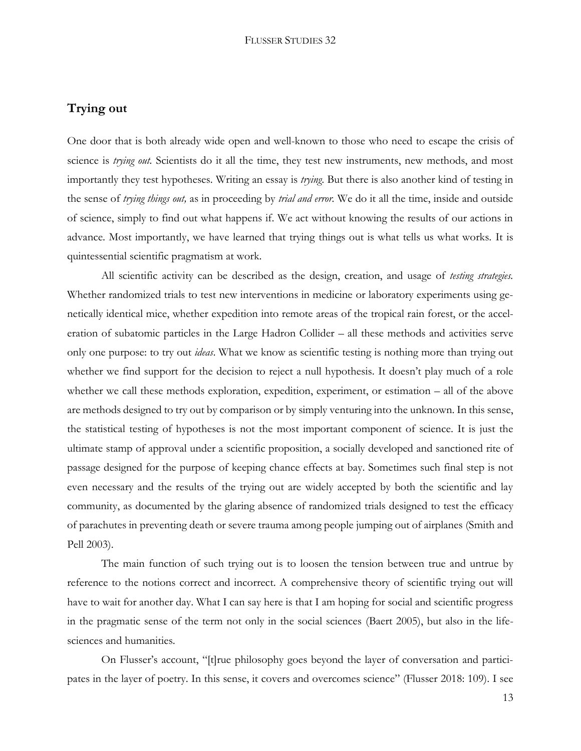# **Trying out**

One door that is both already wide open and well-known to those who need to escape the crisis of science is *trying out*. Scientists do it all the time, they test new instruments, new methods, and most importantly they test hypotheses. Writing an essay is *trying*. But there is also another kind of testing in the sense of *trying things out,* as in proceeding by *trial and error.* We do it all the time, inside and outside of science, simply to find out what happens if. We act without knowing the results of our actions in advance. Most importantly, we have learned that trying things out is what tells us what works. It is quintessential scientific pragmatism at work.

All scientific activity can be described as the design, creation, and usage of *testing strategies.*  Whether randomized trials to test new interventions in medicine or laboratory experiments using genetically identical mice, whether expedition into remote areas of the tropical rain forest, or the acceleration of subatomic particles in the Large Hadron Collider – all these methods and activities serve only one purpose: to try out *ideas*. What we know as scientific testing is nothing more than trying out whether we find support for the decision to reject a null hypothesis. It doesn't play much of a role whether we call these methods exploration, expedition, experiment, or estimation – all of the above are methods designed to try out by comparison or by simply venturing into the unknown. In this sense, the statistical testing of hypotheses is not the most important component of science. It is just the ultimate stamp of approval under a scientific proposition, a socially developed and sanctioned rite of passage designed for the purpose of keeping chance effects at bay. Sometimes such final step is not even necessary and the results of the trying out are widely accepted by both the scientific and lay community, as documented by the glaring absence of randomized trials designed to test the efficacy of parachutes in preventing death or severe trauma among people jumping out of airplanes (Smith and Pell 2003).

The main function of such trying out is to loosen the tension between true and untrue by reference to the notions correct and incorrect. A comprehensive theory of scientific trying out will have to wait for another day. What I can say here is that I am hoping for social and scientific progress in the pragmatic sense of the term not only in the social sciences (Baert 2005), but also in the lifesciences and humanities.

On Flusser's account, "[t]rue philosophy goes beyond the layer of conversation and participates in the layer of poetry. In this sense, it covers and overcomes science" (Flusser 2018: 109). I see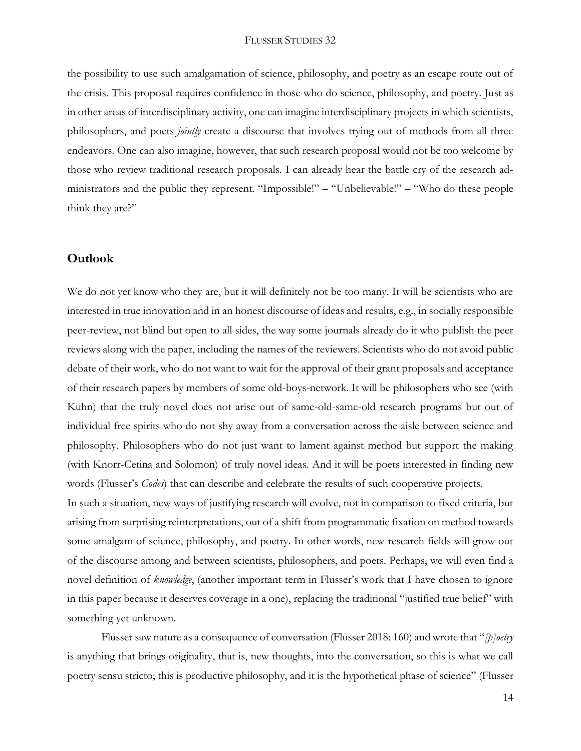the possibility to use such amalgamation of science, philosophy, and poetry as an escape route out of the crisis. This proposal requires confidence in those who do science, philosophy, and poetry. Just as in other areas of interdisciplinary activity, one can imagine interdisciplinary projects in which scientists, philosophers, and poets *jointly* create a discourse that involves trying out of methods from all three endeavors. One can also imagine, however, that such research proposal would not be too welcome by those who review traditional research proposals. I can already hear the battle cry of the research administrators and the public they represent. "Impossible!" – "Unbelievable!" – "Who do these people think they are?"

### **Outlook**

We do not yet know who they are, but it will definitely not be too many. It will be scientists who are interested in true innovation and in an honest discourse of ideas and results, e.g., in socially responsible peer-review, not blind but open to all sides, the way some journals already do it who publish the peer reviews along with the paper, including the names of the reviewers. Scientists who do not avoid public debate of their work, who do not want to wait for the approval of their grant proposals and acceptance of their research papers by members of some old-boys-network. It will be philosophers who see (with Kuhn) that the truly novel does not arise out of same-old-same-old research programs but out of individual free spirits who do not shy away from a conversation across the aisle between science and philosophy. Philosophers who do not just want to lament against method but support the making (with Knorr-Cetina and Solomon) of truly novel ideas. And it will be poets interested in finding new words (Flusser's *Codes*) that can describe and celebrate the results of such cooperative projects.

In such a situation, new ways of justifying research will evolve, not in comparison to fixed criteria, but arising from surprising reinterpretations, out of a shift from programmatic fixation on method towards some amalgam of science, philosophy, and poetry. In other words, new research fields will grow out of the discourse among and between scientists, philosophers, and poets. Perhaps, we will even find a novel definition of *knowledge*, (another important term in Flusser's work that I have chosen to ignore in this paper because it deserves coverage in a one), replacing the traditional "justified true belief" with something yet unknown.

Flusser saw nature as a consequence of conversation (Flusser 2018: 160) and wrote that "*[p]oetry* is anything that brings originality, that is, new thoughts, into the conversation, so this is what we call poetry sensu stricto; this is productive philosophy, and it is the hypothetical phase of science" (Flusser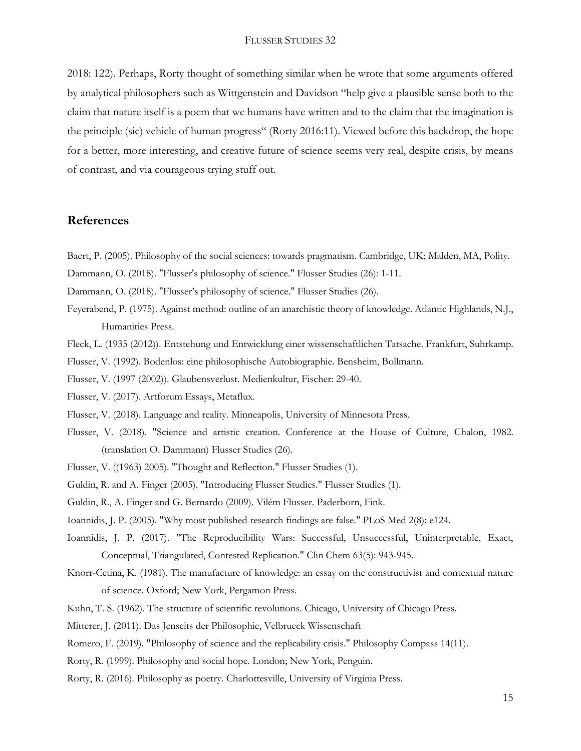2018: 122). Perhaps, Rorty thought of something similar when he wrote that some arguments offered by analytical philosophers such as Wittgenstein and Davidson "help give a plausible sense both to the claim that nature itself is a poem that we humans have written and to the claim that the imagination is the principle (sic) vehicle of human progress" (Rorty 2016:11). Viewed before this backdrop, the hope for a better, more interesting, and creative future of science seems very real, despite crisis, by means of contrast, and via courageous trying stuff out.

## **References**

Baert, P. (2005). Philosophy of the social sciences: towards pragmatism. Cambridge, UK; Malden, MA, Polity.

Dammann, O. (2018). "Flusser's philosophy of science." Flusser Studies (26): 1-11.

Dammann, O. (2018). "Flusser's philosophy of science." Flusser Studies (26).

Feyerabend, P. (1975). Against method: outline of an anarchistic theory of knowledge. Atlantic Highlands, N.J., Humanities Press.

Fleck, L. (1935 (2012)). Entstehung und Entwicklung einer wissenschaftlichen Tatsache. Frankfurt, Suhrkamp.

Flusser, V. (1992). Bodenlos: eine philosophische Autobiographie. Bensheim, Bollmann.

Flusser, V. (1997 (2002)). Glaubensverlust. Medienkultur, Fischer: 29-40.

Flusser, V. (2017). Artforum Essays, Metaflux.

Flusser, V. (2018). Language and reality. Minneapolis, University of Minnesota Press.

- Flusser, V. (2018). "Science and artistic creation. Conference at the House of Culture, Chalon, 1982. (translation O. Dammann) Flusser Studies (26).
- Flusser, V. ((1963) 2005). "Thought and Reflection." Flusser Studies (1).
- Guldin, R. and A. Finger (2005). "Introducing Flusser Studies." Flusser Studies (1).
- Guldin, R., A. Finger and G. Bernardo (2009). Vilém Flusser. Paderborn, Fink.

Ioannidis, J. P. (2005). "Why most published research findings are false." PLoS Med 2(8): e124.

- Ioannidis, J. P. (2017). "The Reproducibility Wars: Successful, Unsuccessful, Uninterpretable, Exact, Conceptual, Triangulated, Contested Replication." Clin Chem 63(5): 943-945.
- Knorr-Cetina, K. (1981). The manufacture of knowledge: an essay on the constructivist and contextual nature of science. Oxford; New York, Pergamon Press.
- Kuhn, T. S. (1962). The structure of scientific revolutions. Chicago, University of Chicago Press.
- Mitterer, J. (2011). Das Jenseits der Philosophie, Velbrueck Wissenschaft
- Romero, F. (2019). "Philosophy of science and the replicability crisis." Philosophy Compass 14(11).
- Rorty, R. (1999). Philosophy and social hope. London; New York, Penguin.
- Rorty, R. (2016). Philosophy as poetry. Charlottesville, University of Virginia Press.